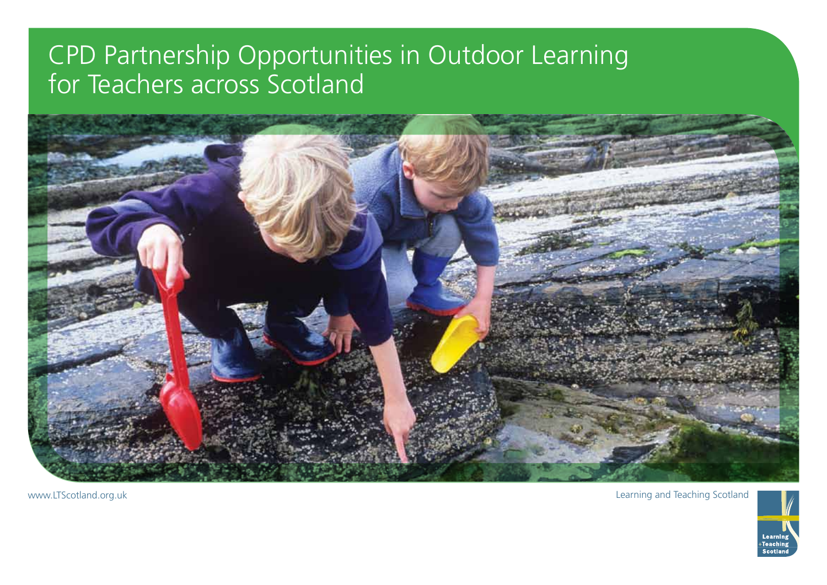## CPD Partnership Opportunities in Outdoor Learning for Teachers across Scotland



www.LTScotland.org.uk Learning and Teaching Scotland

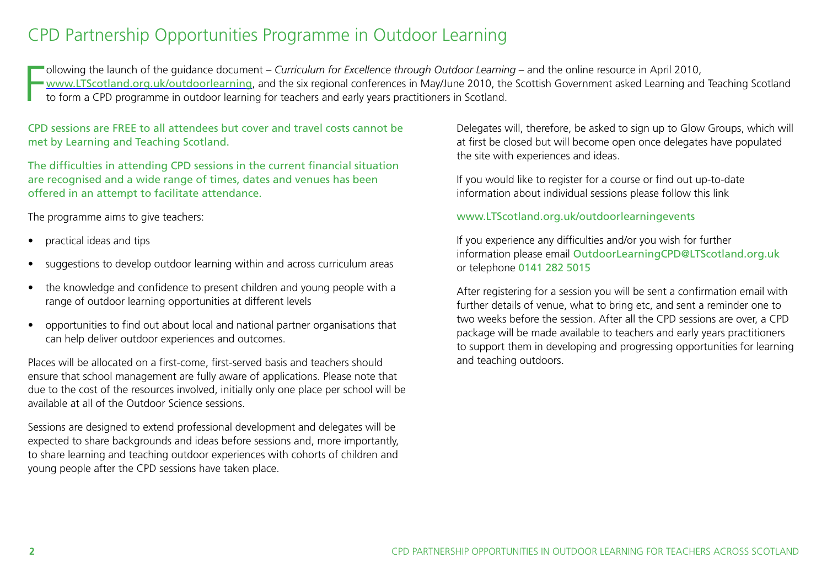## CPD Partnership Opportunities Programme in Outdoor Learning

F ollowing the launch of the guidance document – *Curriculum for Excellence through Outdoor Learning* – and the online resource in April 2010, www.LTScotland.org.uk/outdoorlearning, and the six regional conferences in May/June 2010, the Scottish Government asked Learning and Teaching Scotland to form a CPD programme in outdoor learning for teachers and early years practitioners in Scotland.

CPD sessions are FREE to all attendees but cover and travel costs cannot be met by Learning and Teaching Scotland.

The difficulties in attending CPD sessions in the current financial situation are recognised and a wide range of times, dates and venues has been offered in an attempt to facilitate attendance.

The programme aims to give teachers:

- practical ideas and tips
- suggestions to develop outdoor learning within and across curriculum areas
- the knowledge and confidence to present children and young people with a range of outdoor learning opportunities at different levels
- opportunities to find out about local and national partner organisations that can help deliver outdoor experiences and outcomes.

Places will be allocated on a first-come, first-served basis and teachers should ensure that school management are fully aware of applications. Please note that due to the cost of the resources involved, initially only one place per school will be available at all of the Outdoor Science sessions.

Sessions are designed to extend professional development and delegates will be expected to share backgrounds and ideas before sessions and, more importantly, to share learning and teaching outdoor experiences with cohorts of children and young people after the CPD sessions have taken place.

Delegates will, therefore, be asked to sign up to Glow Groups, which will at first be closed but will become open once delegates have populated the site with experiences and ideas.

If you would like to register for a course or find out up-to-date information about individual sessions please follow this link

## www.LTScotland.org.uk/outdoorlearningevents

If you experience any difficulties and/or you wish for further information please email OutdoorLearningCPD@LTScotland.org.uk or telephone 0141 282 5015

After registering for a session you will be sent a confirmation email with further details of venue, what to bring etc, and sent a reminder one to two weeks before the session. After all the CPD sessions are over, a CPD package will be made available to teachers and early years practitioners to support them in developing and progressing opportunities for learning and teaching outdoors.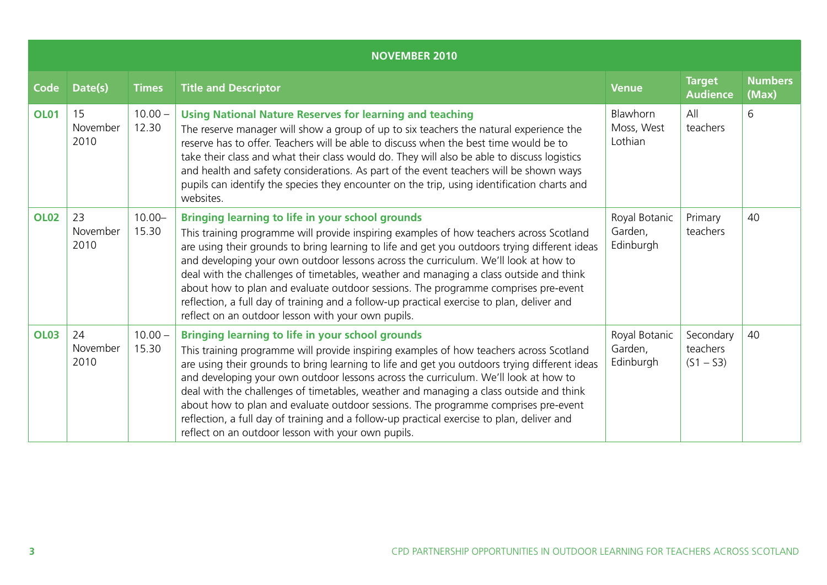|             | <b>NOVEMBER 2010</b>   |                    |                                                                                                                                                                                                                                                                                                                                                                                                                                                                                                                                                                                                                                                                                |                                       |                                      |                         |  |  |  |  |
|-------------|------------------------|--------------------|--------------------------------------------------------------------------------------------------------------------------------------------------------------------------------------------------------------------------------------------------------------------------------------------------------------------------------------------------------------------------------------------------------------------------------------------------------------------------------------------------------------------------------------------------------------------------------------------------------------------------------------------------------------------------------|---------------------------------------|--------------------------------------|-------------------------|--|--|--|--|
| <b>Code</b> | Date(s)                | <b>Times</b>       | <b>Title and Descriptor</b>                                                                                                                                                                                                                                                                                                                                                                                                                                                                                                                                                                                                                                                    | <b>Venue</b>                          | <b>Target</b><br><b>Audience</b>     | <b>Numbers</b><br>(Max) |  |  |  |  |
| <b>OL01</b> | 15<br>November<br>2010 | $10.00 -$<br>12.30 | <b>Using National Nature Reserves for learning and teaching</b><br>The reserve manager will show a group of up to six teachers the natural experience the<br>reserve has to offer. Teachers will be able to discuss when the best time would be to<br>take their class and what their class would do. They will also be able to discuss logistics<br>and health and safety considerations. As part of the event teachers will be shown ways<br>pupils can identify the species they encounter on the trip, using identification charts and<br>websites.                                                                                                                        | Blawhorn<br>Moss, West<br>Lothian     | All<br>teachers                      | 6                       |  |  |  |  |
| <b>OL02</b> | 23<br>November<br>2010 | $10.00 -$<br>15.30 | <b>Bringing learning to life in your school grounds</b><br>This training programme will provide inspiring examples of how teachers across Scotland<br>are using their grounds to bring learning to life and get you outdoors trying different ideas<br>and developing your own outdoor lessons across the curriculum. We'll look at how to<br>deal with the challenges of timetables, weather and managing a class outside and think<br>about how to plan and evaluate outdoor sessions. The programme comprises pre-event<br>reflection, a full day of training and a follow-up practical exercise to plan, deliver and<br>reflect on an outdoor lesson with your own pupils. | Royal Botanic<br>Garden,<br>Edinburgh | Primary<br>teachers                  | 40                      |  |  |  |  |
| <b>OL03</b> | 24<br>November<br>2010 | $10.00 -$<br>15.30 | <b>Bringing learning to life in your school grounds</b><br>This training programme will provide inspiring examples of how teachers across Scotland<br>are using their grounds to bring learning to life and get you outdoors trying different ideas<br>and developing your own outdoor lessons across the curriculum. We'll look at how to<br>deal with the challenges of timetables, weather and managing a class outside and think<br>about how to plan and evaluate outdoor sessions. The programme comprises pre-event<br>reflection, a full day of training and a follow-up practical exercise to plan, deliver and<br>reflect on an outdoor lesson with your own pupils. | Royal Botanic<br>Garden,<br>Edinburgh | Secondary<br>teachers<br>$(S1 - S3)$ | 40                      |  |  |  |  |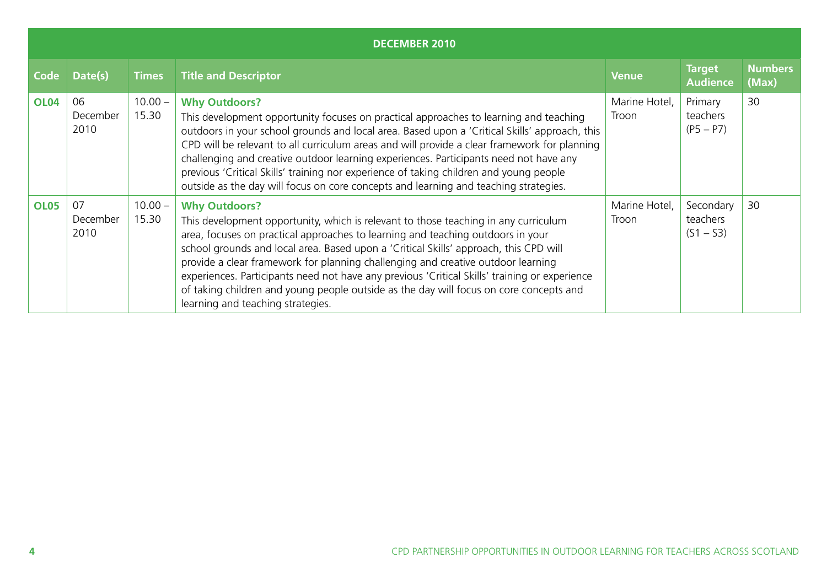|             | <b>DECEMBER 2010</b>   |                    |                                                                                                                                                                                                                                                                                                                                                                                                                                                                                                                                                                                                             |                        |                                      |                         |  |  |  |  |
|-------------|------------------------|--------------------|-------------------------------------------------------------------------------------------------------------------------------------------------------------------------------------------------------------------------------------------------------------------------------------------------------------------------------------------------------------------------------------------------------------------------------------------------------------------------------------------------------------------------------------------------------------------------------------------------------------|------------------------|--------------------------------------|-------------------------|--|--|--|--|
| Code        | Date(s)                | <b>Times</b>       | <b>Title and Descriptor</b>                                                                                                                                                                                                                                                                                                                                                                                                                                                                                                                                                                                 | <b>Venue</b>           | <b>Target</b><br><b>Audience</b>     | <b>Numbers</b><br>(Max) |  |  |  |  |
| <b>OL04</b> | 06<br>December<br>2010 | $10.00 -$<br>15.30 | <b>Why Outdoors?</b><br>This development opportunity focuses on practical approaches to learning and teaching<br>outdoors in your school grounds and local area. Based upon a 'Critical Skills' approach, this<br>CPD will be relevant to all curriculum areas and will provide a clear framework for planning<br>challenging and creative outdoor learning experiences. Participants need not have any<br>previous 'Critical Skills' training nor experience of taking children and young people<br>outside as the day will focus on core concepts and learning and teaching strategies.                   | Marine Hotel,<br>Troon | Primary<br>teachers<br>$(P5 - P7)$   | 30                      |  |  |  |  |
| <b>OL05</b> | 07<br>December<br>2010 | $10.00 -$<br>15.30 | <b>Why Outdoors?</b><br>This development opportunity, which is relevant to those teaching in any curriculum<br>area, focuses on practical approaches to learning and teaching outdoors in your<br>school grounds and local area. Based upon a 'Critical Skills' approach, this CPD will<br>provide a clear framework for planning challenging and creative outdoor learning<br>experiences. Participants need not have any previous 'Critical Skills' training or experience<br>of taking children and young people outside as the day will focus on core concepts and<br>learning and teaching strategies. | Marine Hotel,<br>Troon | Secondary<br>teachers<br>$(S1 - S3)$ | 30                      |  |  |  |  |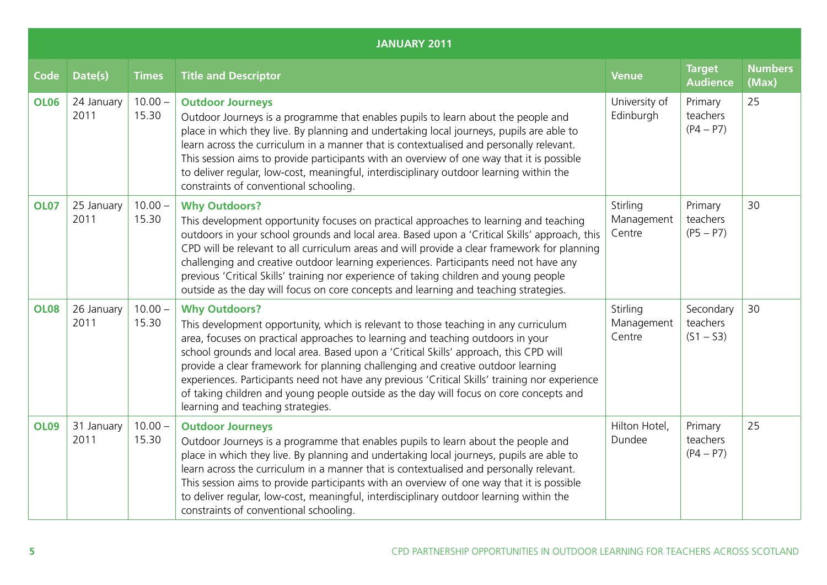|             | <b>JANUARY 2011</b> |                    |                                                                                                                                                                                                                                                                                                                                                                                                                                                                                                                                                                                                              |                                  |                                      |                         |  |  |  |  |
|-------------|---------------------|--------------------|--------------------------------------------------------------------------------------------------------------------------------------------------------------------------------------------------------------------------------------------------------------------------------------------------------------------------------------------------------------------------------------------------------------------------------------------------------------------------------------------------------------------------------------------------------------------------------------------------------------|----------------------------------|--------------------------------------|-------------------------|--|--|--|--|
| <b>Code</b> | Date(s)             | <b>Times</b>       | <b>Title and Descriptor</b>                                                                                                                                                                                                                                                                                                                                                                                                                                                                                                                                                                                  | <b>Venue</b>                     | <b>Target</b><br><b>Audience</b>     | <b>Numbers</b><br>(Max) |  |  |  |  |
| <b>OL06</b> | 24 January<br>2011  | $10.00 -$<br>15.30 | <b>Outdoor Journeys</b><br>Outdoor Journeys is a programme that enables pupils to learn about the people and<br>place in which they live. By planning and undertaking local journeys, pupils are able to<br>learn across the curriculum in a manner that is contextualised and personally relevant.<br>This session aims to provide participants with an overview of one way that it is possible<br>to deliver regular, low-cost, meaningful, interdisciplinary outdoor learning within the<br>constraints of conventional schooling.                                                                        | University of<br>Edinburgh       | Primary<br>teachers<br>$(P4 - P7)$   | 25                      |  |  |  |  |
| <b>OL07</b> | 25 January<br>2011  | $10.00 -$<br>15.30 | <b>Why Outdoors?</b><br>This development opportunity focuses on practical approaches to learning and teaching<br>outdoors in your school grounds and local area. Based upon a 'Critical Skills' approach, this<br>CPD will be relevant to all curriculum areas and will provide a clear framework for planning<br>challenging and creative outdoor learning experiences. Participants need not have any<br>previous 'Critical Skills' training nor experience of taking children and young people<br>outside as the day will focus on core concepts and learning and teaching strategies.                    | Stirling<br>Management<br>Centre | Primary<br>teachers<br>$(P5 - P7)$   | 30                      |  |  |  |  |
| <b>OL08</b> | 26 January<br>2011  | $10.00 -$<br>15.30 | <b>Why Outdoors?</b><br>This development opportunity, which is relevant to those teaching in any curriculum<br>area, focuses on practical approaches to learning and teaching outdoors in your<br>school grounds and local area. Based upon a 'Critical Skills' approach, this CPD will<br>provide a clear framework for planning challenging and creative outdoor learning<br>experiences. Participants need not have any previous 'Critical Skills' training nor experience<br>of taking children and young people outside as the day will focus on core concepts and<br>learning and teaching strategies. | Stirling<br>Management<br>Centre | Secondary<br>teachers<br>$(S1 - S3)$ | 30                      |  |  |  |  |
| <b>OL09</b> | 31 January<br>2011  | $10.00 -$<br>15.30 | <b>Outdoor Journeys</b><br>Outdoor Journeys is a programme that enables pupils to learn about the people and<br>place in which they live. By planning and undertaking local journeys, pupils are able to<br>learn across the curriculum in a manner that is contextualised and personally relevant.<br>This session aims to provide participants with an overview of one way that it is possible<br>to deliver regular, low-cost, meaningful, interdisciplinary outdoor learning within the<br>constraints of conventional schooling.                                                                        | Hilton Hotel,<br>Dundee          | Primary<br>teachers<br>$(P4 - P7)$   | 25                      |  |  |  |  |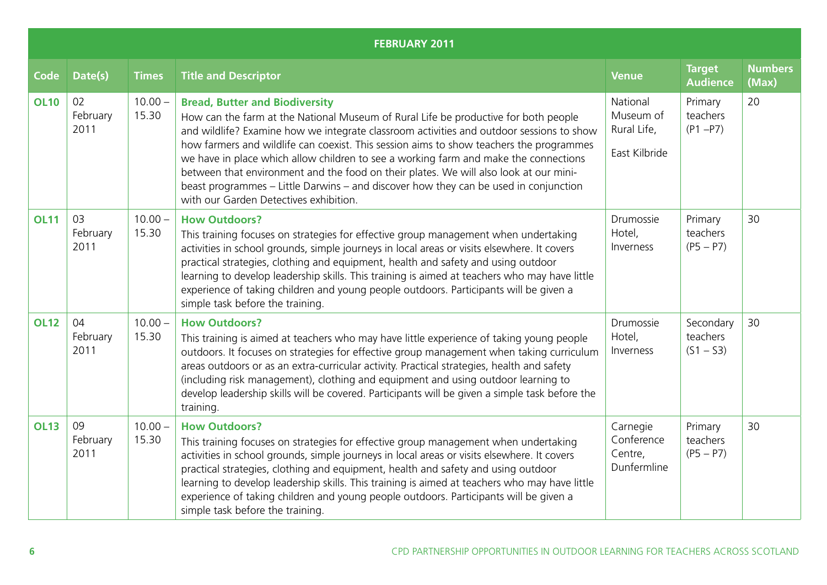|             | <b>FEBRUARY 2011</b>   |                    |                                                                                                                                                                                                                                                                                                                                                                                                                                                                                                                                                                                                                                        |                                                       |                                      |                         |  |  |  |  |  |
|-------------|------------------------|--------------------|----------------------------------------------------------------------------------------------------------------------------------------------------------------------------------------------------------------------------------------------------------------------------------------------------------------------------------------------------------------------------------------------------------------------------------------------------------------------------------------------------------------------------------------------------------------------------------------------------------------------------------------|-------------------------------------------------------|--------------------------------------|-------------------------|--|--|--|--|--|
| <b>Code</b> | Date(s)                | <b>Times</b>       | <b>Title and Descriptor</b>                                                                                                                                                                                                                                                                                                                                                                                                                                                                                                                                                                                                            | <b>Venue</b>                                          | <b>Target</b><br><b>Audience</b>     | <b>Numbers</b><br>(Max) |  |  |  |  |  |
| <b>OL10</b> | 02<br>February<br>2011 | $10.00 -$<br>15.30 | <b>Bread, Butter and Biodiversity</b><br>How can the farm at the National Museum of Rural Life be productive for both people<br>and wildlife? Examine how we integrate classroom activities and outdoor sessions to show<br>how farmers and wildlife can coexist. This session aims to show teachers the programmes<br>we have in place which allow children to see a working farm and make the connections<br>between that environment and the food on their plates. We will also look at our mini-<br>beast programmes - Little Darwins - and discover how they can be used in conjunction<br>with our Garden Detectives exhibition. | National<br>Museum of<br>Rural Life,<br>East Kilbride | Primary<br>teachers<br>$(P1 - P7)$   | 20                      |  |  |  |  |  |
| <b>OL11</b> | 03<br>February<br>2011 | $10.00 -$<br>15.30 | <b>How Outdoors?</b><br>This training focuses on strategies for effective group management when undertaking<br>activities in school grounds, simple journeys in local areas or visits elsewhere. It covers<br>practical strategies, clothing and equipment, health and safety and using outdoor<br>learning to develop leadership skills. This training is aimed at teachers who may have little<br>experience of taking children and young people outdoors. Participants will be given a<br>simple task before the training.                                                                                                          | Drumossie<br>Hotel,<br>Inverness                      | Primary<br>teachers<br>$(PS - P7)$   | 30                      |  |  |  |  |  |
| <b>OL12</b> | 04<br>February<br>2011 | $10.00 -$<br>15.30 | <b>How Outdoors?</b><br>This training is aimed at teachers who may have little experience of taking young people<br>outdoors. It focuses on strategies for effective group management when taking curriculum<br>areas outdoors or as an extra-curricular activity. Practical strategies, health and safety<br>(including risk management), clothing and equipment and using outdoor learning to<br>develop leadership skills will be covered. Participants will be given a simple task before the<br>training.                                                                                                                         | Drumossie<br>Hotel,<br>Inverness                      | Secondary<br>teachers<br>$(S1 - S3)$ | 30                      |  |  |  |  |  |
| <b>OL13</b> | 09<br>February<br>2011 | $10.00 -$<br>15.30 | <b>How Outdoors?</b><br>This training focuses on strategies for effective group management when undertaking<br>activities in school grounds, simple journeys in local areas or visits elsewhere. It covers<br>practical strategies, clothing and equipment, health and safety and using outdoor<br>learning to develop leadership skills. This training is aimed at teachers who may have little<br>experience of taking children and young people outdoors. Participants will be given a<br>simple task before the training.                                                                                                          | Carnegie<br>Conference<br>Centre,<br>Dunfermline      | Primary<br>teachers<br>$(PS - P7)$   | 30                      |  |  |  |  |  |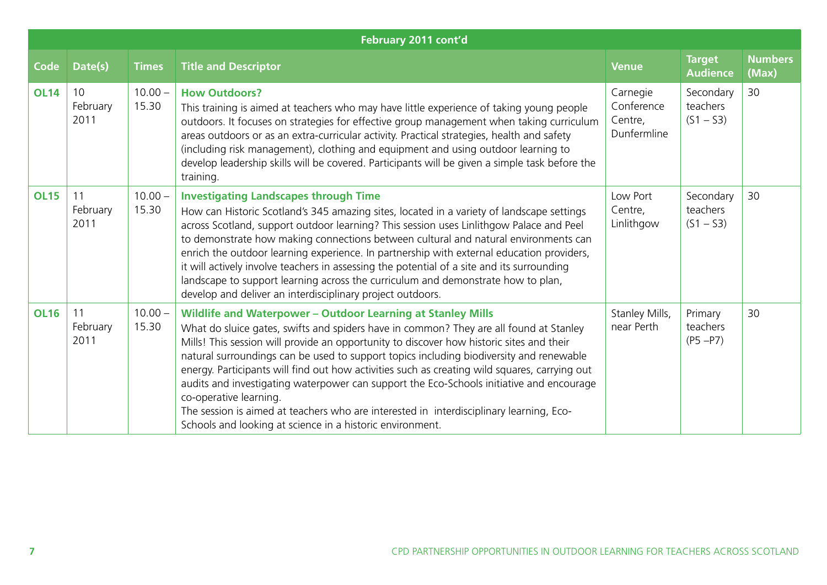|             | February 2011 cont'd   |                    |                                                                                                                                                                                                                                                                                                                                                                                                                                                                                                                                                                                                                                                                                                                                    |                                                  |                                      |                         |  |  |  |  |
|-------------|------------------------|--------------------|------------------------------------------------------------------------------------------------------------------------------------------------------------------------------------------------------------------------------------------------------------------------------------------------------------------------------------------------------------------------------------------------------------------------------------------------------------------------------------------------------------------------------------------------------------------------------------------------------------------------------------------------------------------------------------------------------------------------------------|--------------------------------------------------|--------------------------------------|-------------------------|--|--|--|--|
| <b>Code</b> | Date(s)                | <b>Times</b>       | <b>Title and Descriptor</b>                                                                                                                                                                                                                                                                                                                                                                                                                                                                                                                                                                                                                                                                                                        | <b>Venue</b>                                     | <b>Target</b><br><b>Audience</b>     | <b>Numbers</b><br>(Max) |  |  |  |  |
| <b>OL14</b> | 10<br>February<br>2011 | $10.00 -$<br>15.30 | <b>How Outdoors?</b><br>This training is aimed at teachers who may have little experience of taking young people<br>outdoors. It focuses on strategies for effective group management when taking curriculum<br>areas outdoors or as an extra-curricular activity. Practical strategies, health and safety<br>(including risk management), clothing and equipment and using outdoor learning to<br>develop leadership skills will be covered. Participants will be given a simple task before the<br>training.                                                                                                                                                                                                                     | Carnegie<br>Conference<br>Centre,<br>Dunfermline | Secondary<br>teachers<br>$(S1 - S3)$ | 30                      |  |  |  |  |
| <b>OL15</b> | 11<br>February<br>2011 | $10.00 -$<br>15.30 | <b>Investigating Landscapes through Time</b><br>How can Historic Scotland's 345 amazing sites, located in a variety of landscape settings<br>across Scotland, support outdoor learning? This session uses Linlithgow Palace and Peel<br>to demonstrate how making connections between cultural and natural environments can<br>enrich the outdoor learning experience. In partnership with external education providers,<br>it will actively involve teachers in assessing the potential of a site and its surrounding<br>landscape to support learning across the curriculum and demonstrate how to plan,<br>develop and deliver an interdisciplinary project outdoors.                                                           | Low Port<br>Centre,<br>Linlithgow                | Secondary<br>teachers<br>$(S1 - S3)$ | 30                      |  |  |  |  |
| <b>OL16</b> | 11<br>February<br>2011 | $10.00 -$<br>15.30 | <b>Wildlife and Waterpower - Outdoor Learning at Stanley Mills</b><br>What do sluice gates, swifts and spiders have in common? They are all found at Stanley<br>Mills! This session will provide an opportunity to discover how historic sites and their<br>natural surroundings can be used to support topics including biodiversity and renewable<br>energy. Participants will find out how activities such as creating wild squares, carrying out<br>audits and investigating waterpower can support the Eco-Schools initiative and encourage<br>co-operative learning.<br>The session is aimed at teachers who are interested in interdisciplinary learning, Eco-<br>Schools and looking at science in a historic environment. | Stanley Mills,<br>near Perth                     | Primary<br>teachers<br>$(P5 - P7)$   | 30                      |  |  |  |  |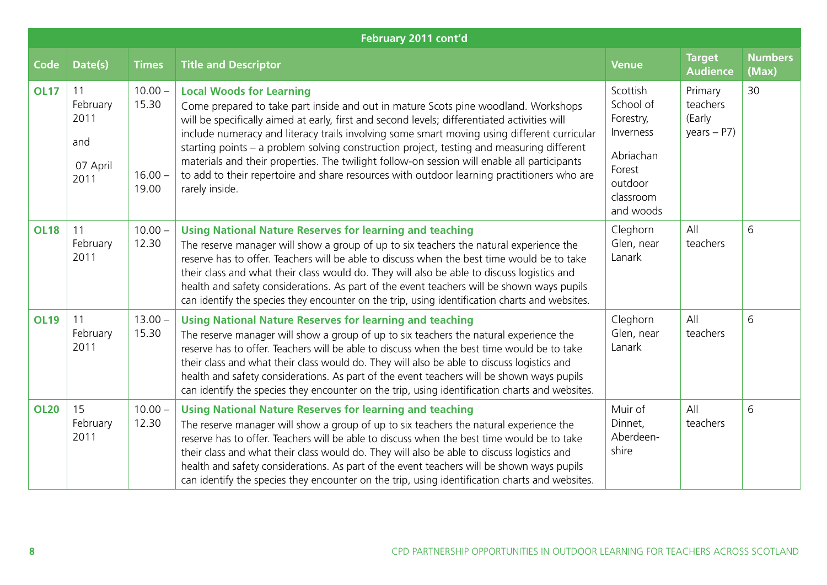| February 2011 cont'd |                                                   |                                          |                                                                                                                                                                                                                                                                                                                                                                                                                                                                                                                                                                                                                                  |                                                                                                             |                                                |                         |  |  |  |
|----------------------|---------------------------------------------------|------------------------------------------|----------------------------------------------------------------------------------------------------------------------------------------------------------------------------------------------------------------------------------------------------------------------------------------------------------------------------------------------------------------------------------------------------------------------------------------------------------------------------------------------------------------------------------------------------------------------------------------------------------------------------------|-------------------------------------------------------------------------------------------------------------|------------------------------------------------|-------------------------|--|--|--|
| <b>Code</b>          | Date(s)                                           | <b>Times</b>                             | <b>Title and Descriptor</b>                                                                                                                                                                                                                                                                                                                                                                                                                                                                                                                                                                                                      | <b>Venue</b>                                                                                                | <b>Target</b><br><b>Audience</b>               | <b>Numbers</b><br>(Max) |  |  |  |
| <b>OL17</b>          | 11<br>February<br>2011<br>and<br>07 April<br>2011 | $10.00 -$<br>15.30<br>$16.00 -$<br>19.00 | <b>Local Woods for Learning</b><br>Come prepared to take part inside and out in mature Scots pine woodland. Workshops<br>will be specifically aimed at early, first and second levels; differentiated activities will<br>include numeracy and literacy trails involving some smart moving using different curricular<br>starting points – a problem solving construction project, testing and measuring different<br>materials and their properties. The twilight follow-on session will enable all participants<br>to add to their repertoire and share resources with outdoor learning practitioners who are<br>rarely inside. | Scottish<br>School of<br>Forestry,<br>Inverness<br>Abriachan<br>Forest<br>outdoor<br>classroom<br>and woods | Primary<br>teachers<br>(Early<br>years $-$ P7) | 30                      |  |  |  |
| <b>OL18</b>          | 11<br>February<br>2011                            | $10.00 -$<br>12.30                       | <b>Using National Nature Reserves for learning and teaching</b><br>The reserve manager will show a group of up to six teachers the natural experience the<br>reserve has to offer. Teachers will be able to discuss when the best time would be to take<br>their class and what their class would do. They will also be able to discuss logistics and<br>health and safety considerations. As part of the event teachers will be shown ways pupils<br>can identify the species they encounter on the trip, using identification charts and websites.                                                                             | Cleghorn<br>Glen, near<br>Lanark                                                                            | All<br>teachers                                | 6                       |  |  |  |
| <b>OL19</b>          | 11<br>February<br>2011                            | $13.00 -$<br>15.30                       | <b>Using National Nature Reserves for learning and teaching</b><br>The reserve manager will show a group of up to six teachers the natural experience the<br>reserve has to offer. Teachers will be able to discuss when the best time would be to take<br>their class and what their class would do. They will also be able to discuss logistics and<br>health and safety considerations. As part of the event teachers will be shown ways pupils<br>can identify the species they encounter on the trip, using identification charts and websites.                                                                             | Cleghorn<br>Glen, near<br>Lanark                                                                            | All<br>teachers                                | 6                       |  |  |  |
| <b>OL20</b>          | 15<br>February<br>2011                            | $10.00 -$<br>12.30                       | <b>Using National Nature Reserves for learning and teaching</b><br>The reserve manager will show a group of up to six teachers the natural experience the<br>reserve has to offer. Teachers will be able to discuss when the best time would be to take<br>their class and what their class would do. They will also be able to discuss logistics and<br>health and safety considerations. As part of the event teachers will be shown ways pupils<br>can identify the species they encounter on the trip, using identification charts and websites.                                                                             | Muir of<br>Dinnet,<br>Aberdeen-<br>shire                                                                    | All<br>teachers                                | 6                       |  |  |  |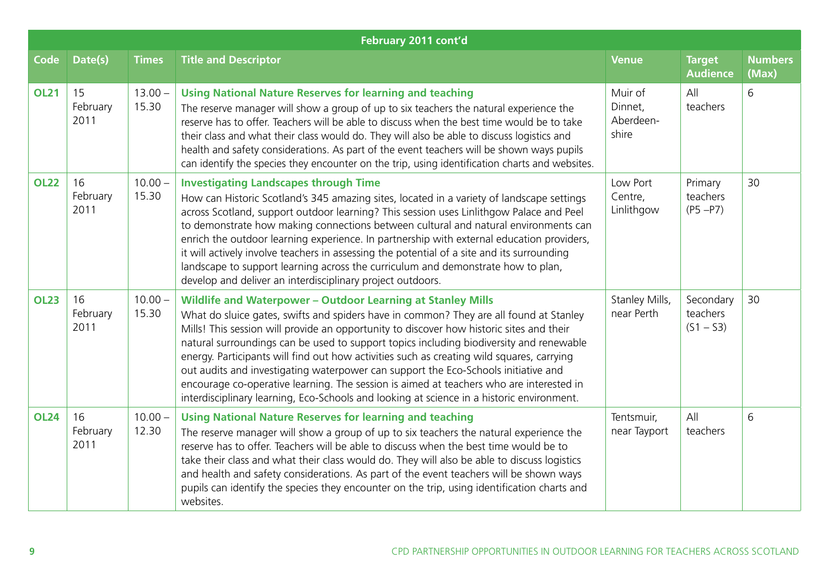|             | February 2011 cont'd   |                    |                                                                                                                                                                                                                                                                                                                                                                                                                                                                                                                                                                                                                                                                                                                                |                                          |                                      |                         |  |  |  |  |
|-------------|------------------------|--------------------|--------------------------------------------------------------------------------------------------------------------------------------------------------------------------------------------------------------------------------------------------------------------------------------------------------------------------------------------------------------------------------------------------------------------------------------------------------------------------------------------------------------------------------------------------------------------------------------------------------------------------------------------------------------------------------------------------------------------------------|------------------------------------------|--------------------------------------|-------------------------|--|--|--|--|
| <b>Code</b> | Date(s)                | <b>Times</b>       | <b>Title and Descriptor</b>                                                                                                                                                                                                                                                                                                                                                                                                                                                                                                                                                                                                                                                                                                    | <b>Venue</b>                             | <b>Target</b><br><b>Audience</b>     | <b>Numbers</b><br>(Max) |  |  |  |  |
| <b>OL21</b> | 15<br>February<br>2011 | $13.00 -$<br>15.30 | <b>Using National Nature Reserves for learning and teaching</b><br>The reserve manager will show a group of up to six teachers the natural experience the<br>reserve has to offer. Teachers will be able to discuss when the best time would be to take<br>their class and what their class would do. They will also be able to discuss logistics and<br>health and safety considerations. As part of the event teachers will be shown ways pupils<br>can identify the species they encounter on the trip, using identification charts and websites.                                                                                                                                                                           | Muir of<br>Dinnet,<br>Aberdeen-<br>shire | All<br>teachers                      | 6                       |  |  |  |  |
| <b>OL22</b> | 16<br>February<br>2011 | $10.00 -$<br>15.30 | <b>Investigating Landscapes through Time</b><br>How can Historic Scotland's 345 amazing sites, located in a variety of landscape settings<br>across Scotland, support outdoor learning? This session uses Linlithgow Palace and Peel<br>to demonstrate how making connections between cultural and natural environments can<br>enrich the outdoor learning experience. In partnership with external education providers,<br>it will actively involve teachers in assessing the potential of a site and its surrounding<br>landscape to support learning across the curriculum and demonstrate how to plan,<br>develop and deliver an interdisciplinary project outdoors.                                                       | Low Port<br>Centre,<br>Linlithgow        | Primary<br>teachers<br>$(P5 - P7)$   | 30                      |  |  |  |  |
| <b>OL23</b> | 16<br>February<br>2011 | $10.00 -$<br>15.30 | <b>Wildlife and Waterpower - Outdoor Learning at Stanley Mills</b><br>What do sluice gates, swifts and spiders have in common? They are all found at Stanley<br>Mills! This session will provide an opportunity to discover how historic sites and their<br>natural surroundings can be used to support topics including biodiversity and renewable<br>energy. Participants will find out how activities such as creating wild squares, carrying<br>out audits and investigating waterpower can support the Eco-Schools initiative and<br>encourage co-operative learning. The session is aimed at teachers who are interested in<br>interdisciplinary learning, Eco-Schools and looking at science in a historic environment. | Stanley Mills,<br>near Perth             | Secondary<br>teachers<br>$(S1 - S3)$ | 30                      |  |  |  |  |
| <b>OL24</b> | 16<br>February<br>2011 | $10.00 -$<br>12.30 | <b>Using National Nature Reserves for learning and teaching</b><br>The reserve manager will show a group of up to six teachers the natural experience the<br>reserve has to offer. Teachers will be able to discuss when the best time would be to<br>take their class and what their class would do. They will also be able to discuss logistics<br>and health and safety considerations. As part of the event teachers will be shown ways<br>pupils can identify the species they encounter on the trip, using identification charts and<br>websites.                                                                                                                                                                        | Tentsmuir,<br>near Tayport               | All<br>teachers                      | 6                       |  |  |  |  |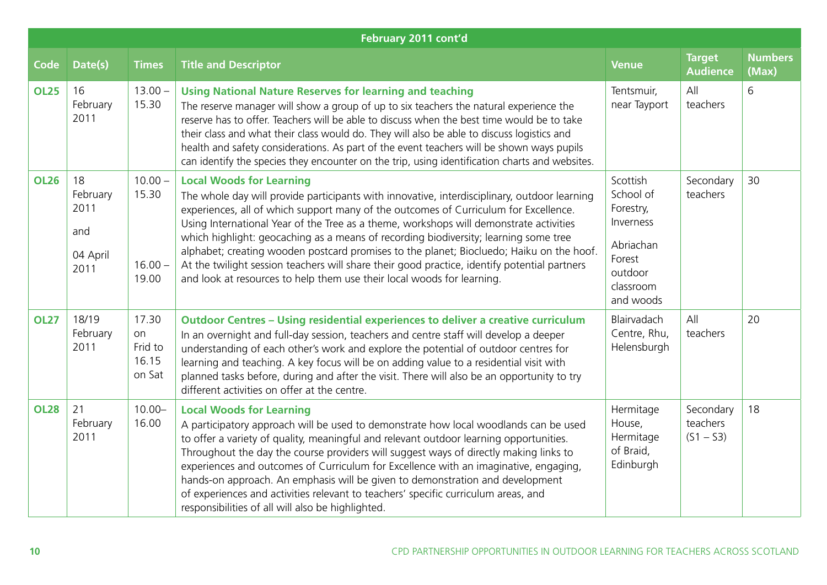|             | February 2011 cont'd                              |                                           |                                                                                                                                                                                                                                                                                                                                                                                                                                                                                                                                                                                                                                                                                 |                                                                                                             |                                      |                         |  |  |  |  |
|-------------|---------------------------------------------------|-------------------------------------------|---------------------------------------------------------------------------------------------------------------------------------------------------------------------------------------------------------------------------------------------------------------------------------------------------------------------------------------------------------------------------------------------------------------------------------------------------------------------------------------------------------------------------------------------------------------------------------------------------------------------------------------------------------------------------------|-------------------------------------------------------------------------------------------------------------|--------------------------------------|-------------------------|--|--|--|--|
| <b>Code</b> | Date(s)                                           | <b>Times</b>                              | <b>Title and Descriptor</b>                                                                                                                                                                                                                                                                                                                                                                                                                                                                                                                                                                                                                                                     | <b>Venue</b>                                                                                                | <b>Target</b><br><b>Audience</b>     | <b>Numbers</b><br>(Max) |  |  |  |  |
| <b>OL25</b> | 16<br>February<br>2011                            | $13.00 -$<br>15.30                        | <b>Using National Nature Reserves for learning and teaching</b><br>The reserve manager will show a group of up to six teachers the natural experience the<br>reserve has to offer. Teachers will be able to discuss when the best time would be to take<br>their class and what their class would do. They will also be able to discuss logistics and<br>health and safety considerations. As part of the event teachers will be shown ways pupils<br>can identify the species they encounter on the trip, using identification charts and websites.                                                                                                                            | Tentsmuir,<br>near Tayport                                                                                  | All<br>teachers                      | 6                       |  |  |  |  |
| <b>OL26</b> | 18<br>February<br>2011<br>and<br>04 April<br>2011 | $10.00 -$<br>15.30<br>$16.00 -$<br>19.00  | <b>Local Woods for Learning</b><br>The whole day will provide participants with innovative, interdisciplinary, outdoor learning<br>experiences, all of which support many of the outcomes of Curriculum for Excellence.<br>Using International Year of the Tree as a theme, workshops will demonstrate activities<br>which highlight: geocaching as a means of recording biodiversity; learning some tree<br>alphabet; creating wooden postcard promises to the planet; Biocluedo; Haiku on the hoof.<br>At the twilight session teachers will share their good practice, identify potential partners<br>and look at resources to help them use their local woods for learning. | Scottish<br>School of<br>Forestry,<br>Inverness<br>Abriachan<br>Forest<br>outdoor<br>classroom<br>and woods | Secondary<br>teachers                | 30                      |  |  |  |  |
| <b>OL27</b> | 18/19<br>February<br>2011                         | 17.30<br>on<br>Frid to<br>16.15<br>on Sat | <b>Outdoor Centres - Using residential experiences to deliver a creative curriculum</b><br>In an overnight and full-day session, teachers and centre staff will develop a deeper<br>understanding of each other's work and explore the potential of outdoor centres for<br>learning and teaching. A key focus will be on adding value to a residential visit with<br>planned tasks before, during and after the visit. There will also be an opportunity to try<br>different activities on offer at the centre.                                                                                                                                                                 | Blairvadach<br>Centre, Rhu,<br>Helensburgh                                                                  | All<br>teachers                      | 20                      |  |  |  |  |
| <b>OL28</b> | 21<br>February<br>2011                            | $10.00 -$<br>16.00                        | <b>Local Woods for Learning</b><br>A participatory approach will be used to demonstrate how local woodlands can be used<br>to offer a variety of quality, meaningful and relevant outdoor learning opportunities.<br>Throughout the day the course providers will suggest ways of directly making links to<br>experiences and outcomes of Curriculum for Excellence with an imaginative, engaging,<br>hands-on approach. An emphasis will be given to demonstration and development<br>of experiences and activities relevant to teachers' specific curriculum areas, and<br>responsibilities of all will also be highlighted.                                                  | Hermitage<br>House,<br>Hermitage<br>of Braid,<br>Edinburgh                                                  | Secondary<br>teachers<br>$(S1 - S3)$ | 18                      |  |  |  |  |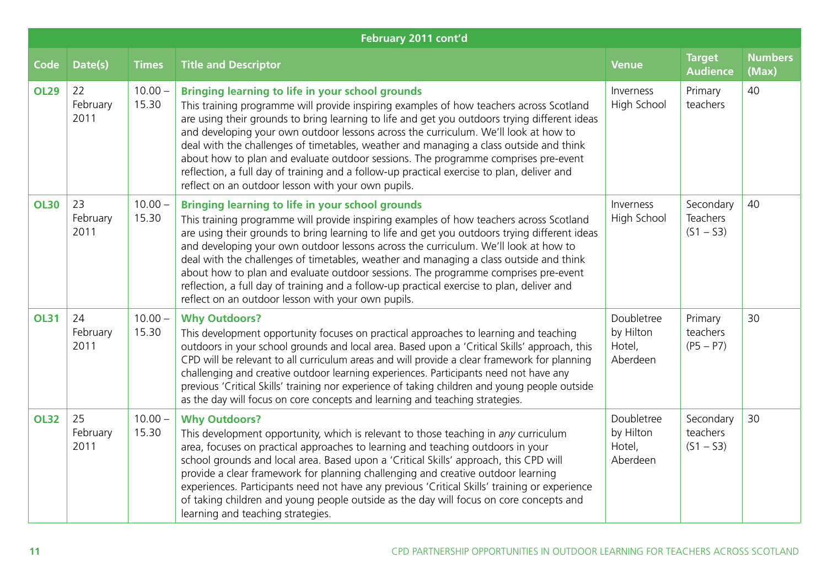| February 2011 cont'd |                        |                    |                                                                                                                                                                                                                                                                                                                                                                                                                                                                                                                                                                                                                                                                                |                                               |                                      |                         |  |  |  |
|----------------------|------------------------|--------------------|--------------------------------------------------------------------------------------------------------------------------------------------------------------------------------------------------------------------------------------------------------------------------------------------------------------------------------------------------------------------------------------------------------------------------------------------------------------------------------------------------------------------------------------------------------------------------------------------------------------------------------------------------------------------------------|-----------------------------------------------|--------------------------------------|-------------------------|--|--|--|
| <b>Code</b>          | Date(s)                | <b>Times</b>       | <b>Title and Descriptor</b>                                                                                                                                                                                                                                                                                                                                                                                                                                                                                                                                                                                                                                                    | <b>Venue</b>                                  | <b>Target</b><br><b>Audience</b>     | <b>Numbers</b><br>(Max) |  |  |  |
| <b>OL29</b>          | 22<br>February<br>2011 | $10.00 -$<br>15.30 | <b>Bringing learning to life in your school grounds</b><br>This training programme will provide inspiring examples of how teachers across Scotland<br>are using their grounds to bring learning to life and get you outdoors trying different ideas<br>and developing your own outdoor lessons across the curriculum. We'll look at how to<br>deal with the challenges of timetables, weather and managing a class outside and think<br>about how to plan and evaluate outdoor sessions. The programme comprises pre-event<br>reflection, a full day of training and a follow-up practical exercise to plan, deliver and<br>reflect on an outdoor lesson with your own pupils. | Inverness<br>High School                      | Primary<br>teachers                  | 40                      |  |  |  |
| <b>OL30</b>          | 23<br>February<br>2011 | $10.00 -$<br>15.30 | <b>Bringing learning to life in your school grounds</b><br>This training programme will provide inspiring examples of how teachers across Scotland<br>are using their grounds to bring learning to life and get you outdoors trying different ideas<br>and developing your own outdoor lessons across the curriculum. We'll look at how to<br>deal with the challenges of timetables, weather and managing a class outside and think<br>about how to plan and evaluate outdoor sessions. The programme comprises pre-event<br>reflection, a full day of training and a follow-up practical exercise to plan, deliver and<br>reflect on an outdoor lesson with your own pupils. | Inverness<br>High School                      | Secondary<br>Teachers<br>$(S1 - S3)$ | 40                      |  |  |  |
| <b>OL31</b>          | 24<br>February<br>2011 | $10.00 -$<br>15.30 | <b>Why Outdoors?</b><br>This development opportunity focuses on practical approaches to learning and teaching<br>outdoors in your school grounds and local area. Based upon a 'Critical Skills' approach, this<br>CPD will be relevant to all curriculum areas and will provide a clear framework for planning<br>challenging and creative outdoor learning experiences. Participants need not have any<br>previous 'Critical Skills' training nor experience of taking children and young people outside<br>as the day will focus on core concepts and learning and teaching strategies.                                                                                      | Doubletree<br>by Hilton<br>Hotel,<br>Aberdeen | Primary<br>teachers<br>$(P5 - P7)$   | 30                      |  |  |  |
| <b>OL32</b>          | 25<br>February<br>2011 | $10.00 -$<br>15.30 | <b>Why Outdoors?</b><br>This development opportunity, which is relevant to those teaching in any curriculum<br>area, focuses on practical approaches to learning and teaching outdoors in your<br>school grounds and local area. Based upon a 'Critical Skills' approach, this CPD will<br>provide a clear framework for planning challenging and creative outdoor learning<br>experiences. Participants need not have any previous 'Critical Skills' training or experience<br>of taking children and young people outside as the day will focus on core concepts and<br>learning and teaching strategies.                                                                    | Doubletree<br>by Hilton<br>Hotel,<br>Aberdeen | Secondary<br>teachers<br>$(S1 - S3)$ | 30                      |  |  |  |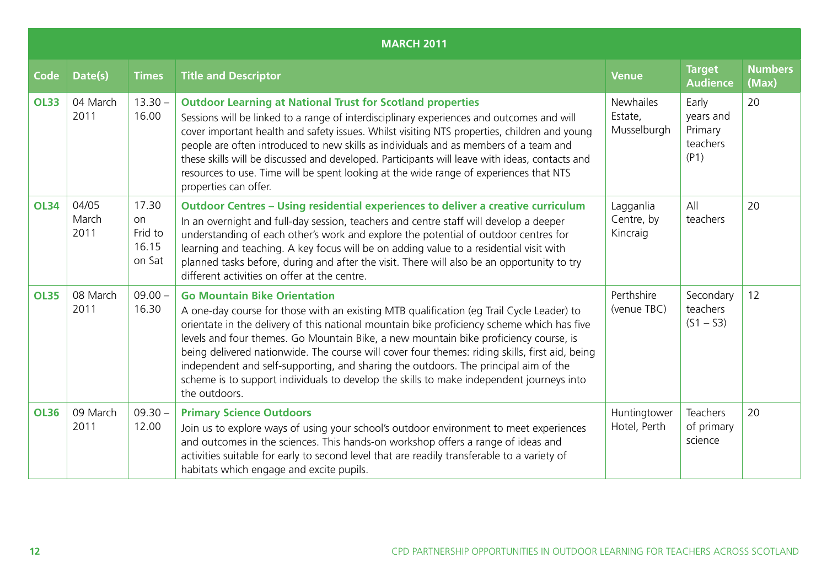|             | <b>MARCH 2011</b>      |                                           |                                                                                                                                                                                                                                                                                                                                                                                                                                                                                                                                                                                                                             |                                            |                                                   |                         |  |  |  |  |
|-------------|------------------------|-------------------------------------------|-----------------------------------------------------------------------------------------------------------------------------------------------------------------------------------------------------------------------------------------------------------------------------------------------------------------------------------------------------------------------------------------------------------------------------------------------------------------------------------------------------------------------------------------------------------------------------------------------------------------------------|--------------------------------------------|---------------------------------------------------|-------------------------|--|--|--|--|
| <b>Code</b> | Date(s)                | <b>Times</b>                              | <b>Title and Descriptor</b>                                                                                                                                                                                                                                                                                                                                                                                                                                                                                                                                                                                                 | <b>Venue</b>                               | <b>Target</b><br><b>Audience</b>                  | <b>Numbers</b><br>(Max) |  |  |  |  |
| <b>OL33</b> | 04 March<br>2011       | $13.30 -$<br>16.00                        | <b>Outdoor Learning at National Trust for Scotland properties</b><br>Sessions will be linked to a range of interdisciplinary experiences and outcomes and will<br>cover important health and safety issues. Whilst visiting NTS properties, children and young<br>people are often introduced to new skills as individuals and as members of a team and<br>these skills will be discussed and developed. Participants will leave with ideas, contacts and<br>resources to use. Time will be spent looking at the wide range of experiences that NTS<br>properties can offer.                                                | <b>Newhailes</b><br>Estate,<br>Musselburgh | Early<br>years and<br>Primary<br>teachers<br>(P1) | 20                      |  |  |  |  |
| <b>OL34</b> | 04/05<br>March<br>2011 | 17.30<br>on<br>Frid to<br>16.15<br>on Sat | <b>Outdoor Centres - Using residential experiences to deliver a creative curriculum</b><br>In an overnight and full-day session, teachers and centre staff will develop a deeper<br>understanding of each other's work and explore the potential of outdoor centres for<br>learning and teaching. A key focus will be on adding value to a residential visit with<br>planned tasks before, during and after the visit. There will also be an opportunity to try<br>different activities on offer at the centre.                                                                                                             | Lagganlia<br>Centre, by<br>Kincraig        | All<br>teachers                                   | 20                      |  |  |  |  |
| <b>OL35</b> | 08 March<br>2011       | $09.00 -$<br>16.30                        | <b>Go Mountain Bike Orientation</b><br>A one-day course for those with an existing MTB qualification (eg Trail Cycle Leader) to<br>orientate in the delivery of this national mountain bike proficiency scheme which has five<br>levels and four themes. Go Mountain Bike, a new mountain bike proficiency course, is<br>being delivered nationwide. The course will cover four themes: riding skills, first aid, being<br>independent and self-supporting, and sharing the outdoors. The principal aim of the<br>scheme is to support individuals to develop the skills to make independent journeys into<br>the outdoors. | Perthshire<br>(venue TBC)                  | Secondary<br>teachers<br>$(S1 - S3)$              | 12                      |  |  |  |  |
| <b>OL36</b> | 09 March<br>2011       | $09.30 -$<br>12.00                        | <b>Primary Science Outdoors</b><br>Join us to explore ways of using your school's outdoor environment to meet experiences<br>and outcomes in the sciences. This hands-on workshop offers a range of ideas and<br>activities suitable for early to second level that are readily transferable to a variety of<br>habitats which engage and excite pupils.                                                                                                                                                                                                                                                                    | Huntingtower<br>Hotel, Perth               | Teachers<br>of primary<br>science                 | 20                      |  |  |  |  |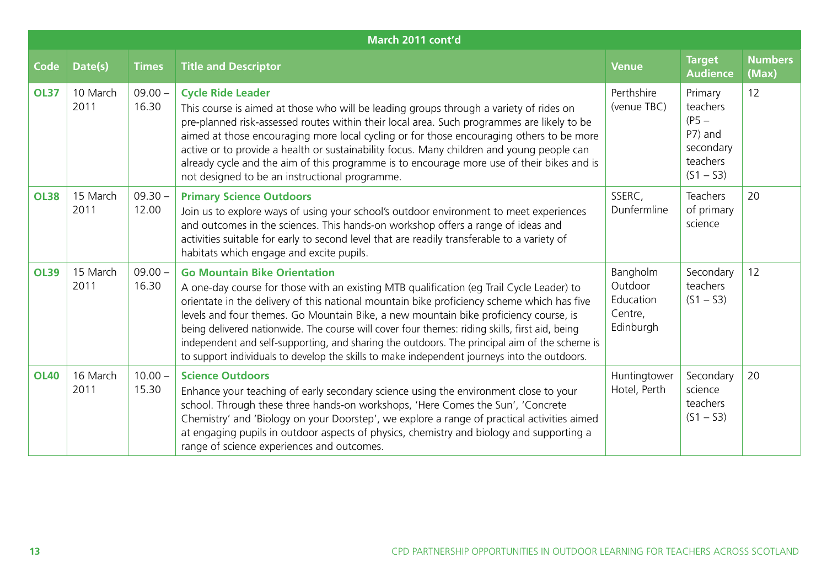|             | March 2011 cont'd |                    |                                                                                                                                                                                                                                                                                                                                                                                                                                                                                                                                                                                                                          |                                                          |                                                                                   |                         |  |  |  |  |
|-------------|-------------------|--------------------|--------------------------------------------------------------------------------------------------------------------------------------------------------------------------------------------------------------------------------------------------------------------------------------------------------------------------------------------------------------------------------------------------------------------------------------------------------------------------------------------------------------------------------------------------------------------------------------------------------------------------|----------------------------------------------------------|-----------------------------------------------------------------------------------|-------------------------|--|--|--|--|
| <b>Code</b> | Date(s)           | <b>Times</b>       | <b>Title and Descriptor</b>                                                                                                                                                                                                                                                                                                                                                                                                                                                                                                                                                                                              | <b>Venue</b>                                             | <b>Target</b><br><b>Audience</b>                                                  | <b>Numbers</b><br>(Max) |  |  |  |  |
| <b>OL37</b> | 10 March<br>2011  | $09.00 -$<br>16.30 | <b>Cycle Ride Leader</b><br>This course is aimed at those who will be leading groups through a variety of rides on<br>pre-planned risk-assessed routes within their local area. Such programmes are likely to be<br>aimed at those encouraging more local cycling or for those encouraging others to be more<br>active or to provide a health or sustainability focus. Many children and young people can<br>already cycle and the aim of this programme is to encourage more use of their bikes and is<br>not designed to be an instructional programme.                                                                | Perthshire<br>(venue TBC)                                | Primary<br>teachers<br>$(PS -$<br>P7) and<br>secondary<br>teachers<br>$(S1 - S3)$ | 12                      |  |  |  |  |
| <b>OL38</b> | 15 March<br>2011  | $09.30 -$<br>12.00 | <b>Primary Science Outdoors</b><br>Join us to explore ways of using your school's outdoor environment to meet experiences<br>and outcomes in the sciences. This hands-on workshop offers a range of ideas and<br>activities suitable for early to second level that are readily transferable to a variety of<br>habitats which engage and excite pupils.                                                                                                                                                                                                                                                                 | SSERC,<br>Dunfermline                                    | <b>Teachers</b><br>of primary<br>science                                          | 20                      |  |  |  |  |
| <b>OL39</b> | 15 March<br>2011  | $09.00 -$<br>16.30 | <b>Go Mountain Bike Orientation</b><br>A one-day course for those with an existing MTB qualification (eq Trail Cycle Leader) to<br>orientate in the delivery of this national mountain bike proficiency scheme which has five<br>levels and four themes. Go Mountain Bike, a new mountain bike proficiency course, is<br>being delivered nationwide. The course will cover four themes: riding skills, first aid, being<br>independent and self-supporting, and sharing the outdoors. The principal aim of the scheme is<br>to support individuals to develop the skills to make independent journeys into the outdoors. | Bangholm<br>Outdoor<br>Education<br>Centre,<br>Edinburgh | Secondary<br>teachers<br>$(S1 - S3)$                                              | 12                      |  |  |  |  |
| <b>OL40</b> | 16 March<br>2011  | $10.00 -$<br>15.30 | <b>Science Outdoors</b><br>Enhance your teaching of early secondary science using the environment close to your<br>school. Through these three hands-on workshops, 'Here Comes the Sun', 'Concrete<br>Chemistry' and 'Biology on your Doorstep', we explore a range of practical activities aimed<br>at engaging pupils in outdoor aspects of physics, chemistry and biology and supporting a<br>range of science experiences and outcomes.                                                                                                                                                                              | Huntingtower<br>Hotel, Perth                             | Secondary<br>science<br>teachers<br>$(S1 - S3)$                                   | 20                      |  |  |  |  |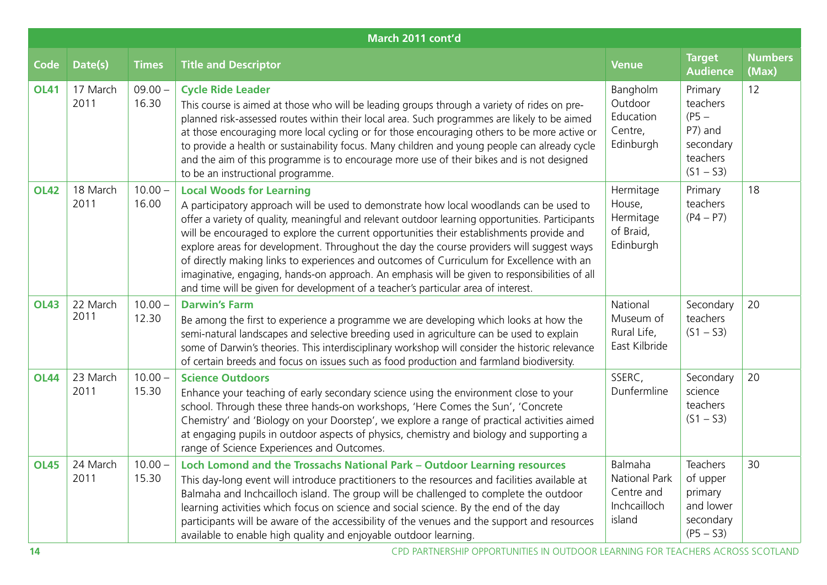| March 2011 cont'd |                  |                    |                                                                                                                                                                                                                                                                                                                                                                                                                                                                                                                                                                                                                                                                                                             |                                                                         |                                                                                   |                         |  |  |  |
|-------------------|------------------|--------------------|-------------------------------------------------------------------------------------------------------------------------------------------------------------------------------------------------------------------------------------------------------------------------------------------------------------------------------------------------------------------------------------------------------------------------------------------------------------------------------------------------------------------------------------------------------------------------------------------------------------------------------------------------------------------------------------------------------------|-------------------------------------------------------------------------|-----------------------------------------------------------------------------------|-------------------------|--|--|--|
| <b>Code</b>       | Date(s)          | <b>Times</b>       | <b>Title and Descriptor</b>                                                                                                                                                                                                                                                                                                                                                                                                                                                                                                                                                                                                                                                                                 | <b>Venue</b>                                                            | <b>Target</b><br><b>Audience</b>                                                  | <b>Numbers</b><br>(Max) |  |  |  |
| <b>OL41</b>       | 17 March<br>2011 | $09.00 -$<br>16.30 | <b>Cycle Ride Leader</b><br>This course is aimed at those who will be leading groups through a variety of rides on pre-<br>planned risk-assessed routes within their local area. Such programmes are likely to be aimed<br>at those encouraging more local cycling or for those encouraging others to be more active or<br>to provide a health or sustainability focus. Many children and young people can already cycle<br>and the aim of this programme is to encourage more use of their bikes and is not designed<br>to be an instructional programme.                                                                                                                                                  | Bangholm<br>Outdoor<br>Education<br>Centre,<br>Edinburgh                | Primary<br>teachers<br>$(PS -$<br>P7) and<br>secondary<br>teachers<br>$(S1 - S3)$ | 12                      |  |  |  |
| <b>OL42</b>       | 18 March<br>2011 | $10.00 -$<br>16.00 | <b>Local Woods for Learning</b><br>A participatory approach will be used to demonstrate how local woodlands can be used to<br>offer a variety of quality, meaningful and relevant outdoor learning opportunities. Participants<br>will be encouraged to explore the current opportunities their establishments provide and<br>explore areas for development. Throughout the day the course providers will suggest ways<br>of directly making links to experiences and outcomes of Curriculum for Excellence with an<br>imaginative, engaging, hands-on approach. An emphasis will be given to responsibilities of all<br>and time will be given for development of a teacher's particular area of interest. | Hermitage<br>House,<br>Hermitage<br>of Braid,<br>Edinburgh              | Primary<br>teachers<br>$(P4 - P7)$                                                | 18                      |  |  |  |
| <b>OL43</b>       | 22 March<br>2011 | $10.00 -$<br>12.30 | <b>Darwin's Farm</b><br>Be among the first to experience a programme we are developing which looks at how the<br>semi-natural landscapes and selective breeding used in agriculture can be used to explain<br>some of Darwin's theories. This interdisciplinary workshop will consider the historic relevance<br>of certain breeds and focus on issues such as food production and farmland biodiversity.                                                                                                                                                                                                                                                                                                   | National<br>Museum of<br>Rural Life,<br>East Kilbride                   | Secondary<br>teachers<br>$(S1 - S3)$                                              | 20                      |  |  |  |
| <b>OL44</b>       | 23 March<br>2011 | $10.00 -$<br>15.30 | <b>Science Outdoors</b><br>Enhance your teaching of early secondary science using the environment close to your<br>school. Through these three hands-on workshops, 'Here Comes the Sun', 'Concrete<br>Chemistry' and 'Biology on your Doorstep', we explore a range of practical activities aimed<br>at engaging pupils in outdoor aspects of physics, chemistry and biology and supporting a<br>range of Science Experiences and Outcomes.                                                                                                                                                                                                                                                                 | SSERC,<br>Dunfermline                                                   | Secondary<br>science<br>teachers<br>$(S1 - S3)$                                   | 20                      |  |  |  |
| <b>OL45</b>       | 24 March<br>2011 | $10.00 -$<br>15.30 | Loch Lomond and the Trossachs National Park - Outdoor Learning resources<br>This day-long event will introduce practitioners to the resources and facilities available at<br>Balmaha and Inchcailloch island. The group will be challenged to complete the outdoor<br>learning activities which focus on science and social science. By the end of the day<br>participants will be aware of the accessibility of the venues and the support and resources<br>available to enable high quality and enjoyable outdoor learning.                                                                                                                                                                               | Balmaha<br><b>National Park</b><br>Centre and<br>Inchcailloch<br>island | <b>Teachers</b><br>of upper<br>primary<br>and lower<br>secondary<br>$(PS - S3)$   | 30                      |  |  |  |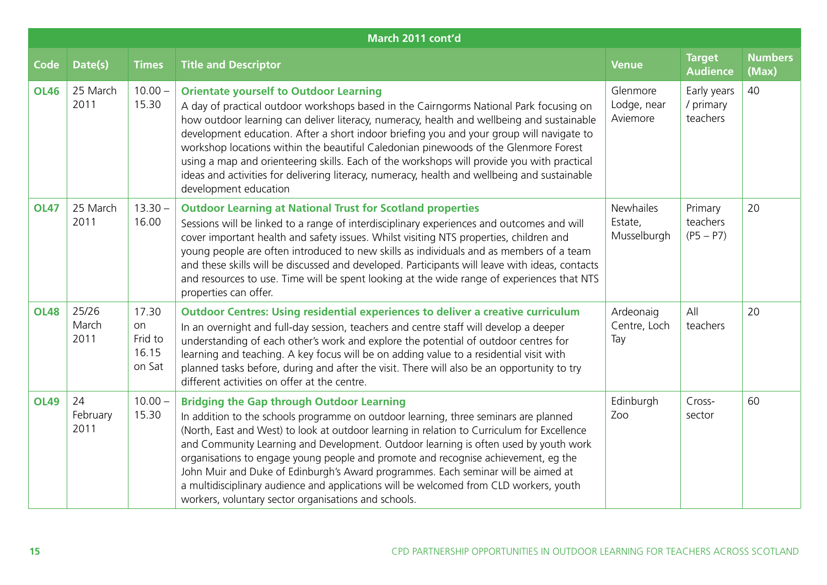| March 2011 cont'd |                        |                                           |                                                                                                                                                                                                                                                                                                                                                                                                                                                                                                                                                                                                                                                              |                                     |                                      |                         |  |  |  |  |  |
|-------------------|------------------------|-------------------------------------------|--------------------------------------------------------------------------------------------------------------------------------------------------------------------------------------------------------------------------------------------------------------------------------------------------------------------------------------------------------------------------------------------------------------------------------------------------------------------------------------------------------------------------------------------------------------------------------------------------------------------------------------------------------------|-------------------------------------|--------------------------------------|-------------------------|--|--|--|--|--|
| <b>Code</b>       | Date(s)                | <b>Times</b>                              | <b>Title and Descriptor</b>                                                                                                                                                                                                                                                                                                                                                                                                                                                                                                                                                                                                                                  | <b>Venue</b>                        | <b>Target</b><br><b>Audience</b>     | <b>Numbers</b><br>(Max) |  |  |  |  |  |
| <b>OL46</b>       | 25 March<br>2011       | $10.00 -$<br>15.30                        | <b>Orientate yourself to Outdoor Learning</b><br>A day of practical outdoor workshops based in the Cairngorms National Park focusing on<br>how outdoor learning can deliver literacy, numeracy, health and wellbeing and sustainable<br>development education. After a short indoor briefing you and your group will navigate to<br>workshop locations within the beautiful Caledonian pinewoods of the Glenmore Forest<br>using a map and orienteering skills. Each of the workshops will provide you with practical<br>ideas and activities for delivering literacy, numeracy, health and wellbeing and sustainable<br>development education               | Glenmore<br>Lodge, near<br>Aviemore | Early years<br>/ primary<br>teachers | 40                      |  |  |  |  |  |
| <b>OL47</b>       | 25 March<br>2011       | $13.30 -$<br>16.00                        | <b>Outdoor Learning at National Trust for Scotland properties</b><br>Sessions will be linked to a range of interdisciplinary experiences and outcomes and will<br>cover important health and safety issues. Whilst visiting NTS properties, children and<br>young people are often introduced to new skills as individuals and as members of a team<br>and these skills will be discussed and developed. Participants will leave with ideas, contacts<br>and resources to use. Time will be spent looking at the wide range of experiences that NTS<br>properties can offer.                                                                                 | Newhailes<br>Estate,<br>Musselburgh | Primary<br>teachers<br>$(P5 - P7)$   | 20                      |  |  |  |  |  |
| <b>OL48</b>       | 25/26<br>March<br>2011 | 17.30<br>on<br>Frid to<br>16.15<br>on Sat | <b>Outdoor Centres: Using residential experiences to deliver a creative curriculum</b><br>In an overnight and full-day session, teachers and centre staff will develop a deeper<br>understanding of each other's work and explore the potential of outdoor centres for<br>learning and teaching. A key focus will be on adding value to a residential visit with<br>planned tasks before, during and after the visit. There will also be an opportunity to try<br>different activities on offer at the centre.                                                                                                                                               | Ardeonaig<br>Centre, Loch<br>Tay    | All<br>teachers                      | 20                      |  |  |  |  |  |
| <b>OL49</b>       | 24<br>February<br>2011 | $10.00 -$<br>15.30                        | <b>Bridging the Gap through Outdoor Learning</b><br>In addition to the schools programme on outdoor learning, three seminars are planned<br>(North, East and West) to look at outdoor learning in relation to Curriculum for Excellence<br>and Community Learning and Development. Outdoor learning is often used by youth work<br>organisations to engage young people and promote and recognise achievement, eg the<br>John Muir and Duke of Edinburgh's Award programmes. Each seminar will be aimed at<br>a multidisciplinary audience and applications will be welcomed from CLD workers, youth<br>workers, voluntary sector organisations and schools. | Edinburgh<br>Zoo                    | Cross-<br>sector                     | 60                      |  |  |  |  |  |